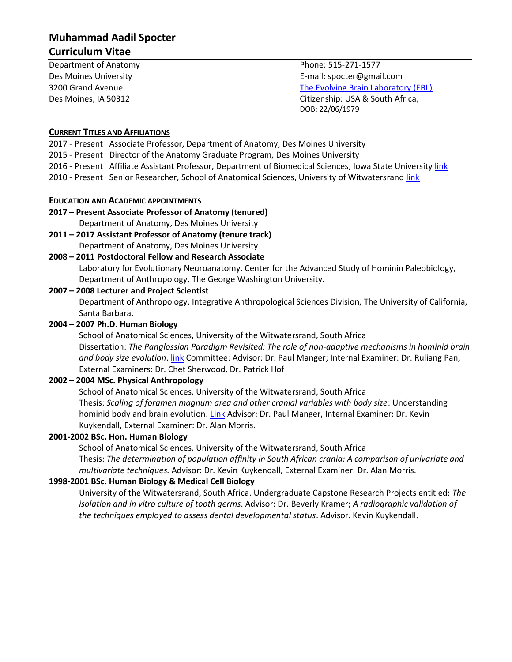# **Muhammad Aadil Spocter Curriculum Vitae**

Department of Anatomy **Phone:** 515-271-1577

Des Moines University E-mail: spocter@gmail.com 3200 Grand Avenue [The Evolving Brain Laboratory \(EBL\)](http://www.spocter.com/) Des Moines, IA 50312 Citizenship: USA & South Africa, DOB: 22/06/1979

#### **CURRENT TITLES AND AFFILIATIONS**

- 2017 Present Associate Professor, Department of Anatomy, Des Moines University
- 2015 Present Director of the Anatomy Graduate Program, Des Moines University
- 2016 Present Affiliate Assistant Professor, Department of Biomedical Sciences, Iowa State University [link](https://vetmed.iastate.edu/bms/directory/affiliate-faculty)
- 2010 Present Senior Researcher, School of Anatomical Sciences, University of Witwatersrand [link](https://www.wits.ac.za/anatomicalsciences/staff/)

#### **EDUCATION AND ACADEMIC APPOINTMENTS**

### **2017 – Present Associate Professor of Anatomy (tenured)**  Department of Anatomy, Des Moines University

**2011 – 2017 Assistant Professor of Anatomy (tenure track)**  Department of Anatomy, Des Moines University

#### **2008 – 2011 Postdoctoral Fellow and Research Associate**

Laboratory for Evolutionary Neuroanatomy, Center for the Advanced Study of Hominin Paleobiology, Department of Anthropology, The George Washington University.

#### **2007 – 2008 Lecturer and Project Scientist**

Department of Anthropology, Integrative Anthropological Sciences Division, The University of California, Santa Barbara.

#### **2004 – 2007 Ph.D. Human Biology**

School of Anatomical Sciences, University of the Witwatersrand, South Africa Dissertation: *The Panglossian Paradigm Revisited: The role of non-adaptive mechanisms in hominid brain and body size evolution*. [link](http://wiredspace.wits.ac.za/handle/10539/5955) Committee: Advisor: Dr. Paul Manger; Internal Examiner: Dr. Ruliang Pan, External Examiners: Dr. Chet Sherwood, Dr. Patrick Hof

#### **2002 – 2004 MSc. Physical Anthropology**

School of Anatomical Sciences, University of the Witwatersrand, South Africa Thesis: *Scaling of foramen magnum area and other cranial variables with body size*: Understanding hominid body and brain evolution. [Link](http://nrfnexus.nrf.ac.za/handle/20.500.11892/113170) Advisor: Dr. Paul Manger, Internal Examiner: Dr. Kevin Kuykendall, External Examiner: Dr. Alan Morris.

#### **2001-2002 BSc. Hon. Human Biology**

School of Anatomical Sciences, University of the Witwatersrand, South Africa

Thesis: *The determination of population affinity in South African crania: A comparison of univariate and multivariate techniques.* Advisor: Dr. Kevin Kuykendall, External Examiner: Dr. Alan Morris.

#### **1998-2001 BSc. Human Biology & Medical Cell Biology**

University of the Witwatersrand, South Africa. Undergraduate Capstone Research Projects entitled: *The isolation and in vitro culture of tooth germs*. Advisor: Dr. Beverly Kramer; *A radiographic validation of the techniques employed to assess dental developmental status*. Advisor. Kevin Kuykendall.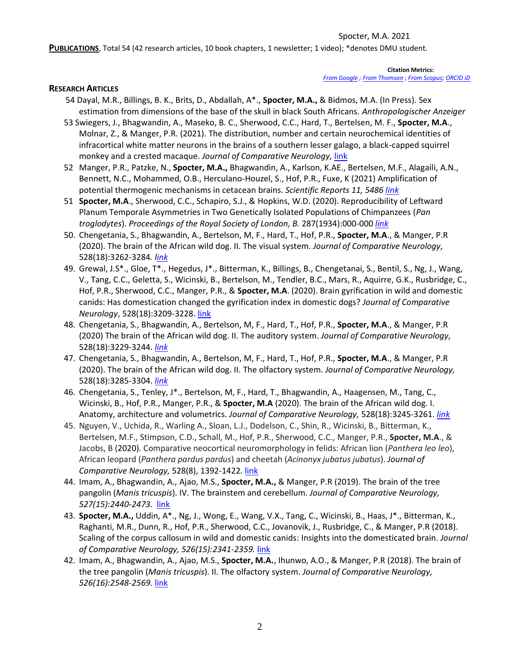PUBLICATIONS, Total 54 (42 research articles, 10 book chapters, 1 newsletter; 1 video); \*denotes DMU student.

#### **Citation Metrics:**

*[From Google](http://scholar.google.com/citations?user=slaWFp0AAAAJ&hl=en) [; From Thomson](http://www.researcherid.com/rid/D-3956-2012)* ; *[From Scopus;](http://www.scopus.com/authid/detail.url?authorId=55136371400) [ORCID iD](https://orcid.org/0000-0003-1174-7444)*

#### **RESEARCH ARTICLES**

- 54 Dayal, M.R., Billings, B. K., Brits, D., Abdallah, A\*., **Spocter, M.A.,** & Bidmos, M.A. (In Press). Sex estimation from dimensions of the base of the skull in black South Africans. *Anthropologischer Anzeiger*
- 53 Swiegers, J., Bhagwandin, A., Maseko, B. C., Sherwood, C.C., Hard, T., Bertelsen, M. F., **Spocter, M.A**., Molnar, Z., & Manger, P.R. (2021). The distribution, number and certain neurochemical identities of infracortical white matter neurons in the brains of a southern lesser galago, a black-capped squirrel monkey and a crested macaque. *Journal of Comparative Neurology,* [link](https://onlinelibrary.wiley.com/doi/abs/10.1002/cne.25216)
- 52 Manger, P.R., Patzke, N., **Spocter, M.A.,** Bhagwandin, A., Karlson, K.AE., Bertelsen, M.F., Alagaili, A.N., Bennett, N.C., Mohammed, O.B., Herculano-Houzel, S., Hof, P.R., Fuxe, K (2021) Amplification of potential thermogenic mechanisms in cetacean brains. *Scientific Reports 11, 5486 [link](https://www.nature.com/articles/s41598-021-84762-0)*
- 51 **Spocter, M.A**., Sherwood, C.C., Schapiro, S.J., & Hopkins, W.D. (2020). Reproducibility of Leftward Planum Temporale Asymmetries in Two Genetically Isolated Populations of Chimpanzees (*Pan troglodytes*). *Proceedings of the Royal Society of London, B.* 287(1934):000-000 *[link](https://royalsocietypublishing.org/doi/10.1098/rspb.2020.1320)*
- 50. Chengetania, S., Bhagwandin, A., Bertelson, M, F., Hard, T., Hof, P.R., **Spocter, M.A**., & Manger, P.R (2020). The brain of the African wild dog. II. The visual system. *Journal of Comparative Neurology,* 528(18):3262-3284*. [link](https://onlinelibrary.wiley.com/doi/abs/10.1002/cne.25000)*
- 49. Grewal, J.S\*., Gloe, T\*., Hegedus, J\*., Bitterman, K., Billings, B., Chengetanai, S., Bentil, S., Ng, J., Wang, V., Tang, C.C., Geletta, S., Wicinski, B., Bertelson, M., Tendler, B.C., Mars, R., Aquirre, G.K., Rusbridge, C., Hof, P.R., Sherwood, C.C., Manger, P.R., & **Spocter, M.A**. (2020). Brain gyrification in wild and domestic canids: Has domestication changed the gyrification index in domestic dogs? *Journal of Comparative Neurology*, 528(18):3209-3228. [link](https://onlinelibrary.wiley.com/doi/abs/10.1002/cne.24972)
- 48. Chengetania, S., Bhagwandin, A., Bertelson, M, F., Hard, T., Hof, P.R., **Spocter, M.A**., & Manger, P.R (2020) The brain of the African wild dog. II. The auditory system. *Journal of Comparative Neurology,*  528(18):3229-3244. *[link](https://onlinelibrary.wiley.com/doi/10.1002/cne.24989)*
- 47. Chengetania, S., Bhagwandin, A., Bertelson, M, F., Hard, T., Hof, P.R., **Spocter, M.A**., & Manger, P.R (2020). The brain of the African wild dog. II. The olfactory system. *Journal of Comparative Neurology,*  528(18):3285-3304. *[link](https://onlinelibrary.wiley.com/doi/abs/10.1002/cne.25007)*
- 46. Chengetania, S., Tenley, J\*., Bertelson, M, F., Hard, T., Bhagwandin, A., Haagensen, M., Tang, C., Wicinski, B., Hof, P.R., Manger, P.R., & **Spocter, M.A** (2020). The brain of the African wild dog. I. Anatomy, architecture and volumetrics. *Journal of Comparative Neurology,* 528(18):3245-3261. *[link](https://onlinelibrary.wiley.com/doi/10.1002/cne.24999)*
- 45. Nguyen, V., Uchida, R., Warling A., Sloan, L.J., Dodelson, C., Shin, R., Wicinski, B., Bitterman, K., Bertelsen, M.F., Stimpson, C.D., Schall, M., Hof, P.R., Sherwood, C.C., Manger, P.R., **Spocter, M.A**., & Jacobs, B (2020). Comparative neocortical neuromorphology in felids: African lion (*Panthera leo leo*), African leopard (*Panthera pardus pardus*) and cheetah (*Acinonyx jubatus jubatus*). *Journal of Comparative Neurology,* 528(8), 1392-1422*.* [link](https://www.ncbi.nlm.nih.gov/pubmed/31749162)
- 44. Imam, A., Bhagwandin, A., Ajao, M.S., **Spocter, M.A.,** & Manger, P.R (2019). The brain of the tree pangolin (*Manis tricuspis*). IV. The brainstem and cerebellum. *Journal of Comparative Neurology, 527(15):2440-2473.* [link](https://onlinelibrary.wiley.com/doi/abs/10.1002/cne.24721)
- 43. **Spocter, M.A.,** Uddin, A\*., Ng, J., Wong, E., Wang, V.X., Tang, C., Wicinski, B., Haas, J\*., Bitterman, K., Raghanti, M.R., Dunn, R., Hof, P.R., Sherwood, C.C., Jovanovik, J., Rusbridge, C., & Manger, P.R (2018). Scaling of the corpus callosum in wild and domestic canids: Insights into the domesticated brain. *Journal of Comparative Neurology, 526(15):2341-2359.* [link](https://onlinelibrary.wiley.com/doi/abs/10.1002/cne.24486)
- 42. Imam, A., Bhagwandin, A., Ajao, M.S., **Spocter, M.A.**, Ihunwo, A.O., & Manger, P.R (2018). The brain of the tree pangolin (*Manis tricuspis*). II. The olfactory system. *Journal of Comparative Neurology, 526(16):2548-2569.* [link](https://onlinelibrary.wiley.com/doi/abs/10.1002/cne.24510)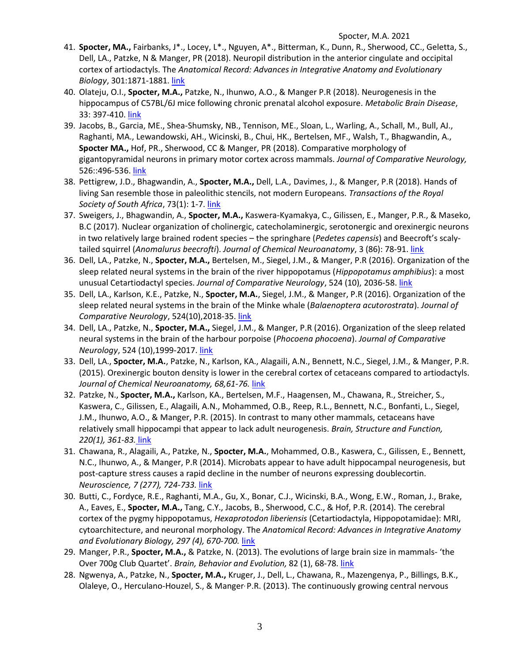- 41. **Spocter, MA.,** Fairbanks, J\*., Locey, L\*., Nguyen, A\*., Bitterman, K., Dunn, R., Sherwood, CC., Geletta, S., Dell, LA., Patzke, N & Manger, PR (2018). Neuropil distribution in the anterior cingulate and occipital cortex of artiodactyls. The *Anatomical Record: Advances in Integrative Anatomy and Evolutionary Biology*, 301:1871-1881. [link](https://onlinelibrary.wiley.com/doi/epdf/10.1002/ar.23905?author_access_token=VA4zZ1IoTw1OQyq4M4pjCk4keas67K9QMdWULTWMo8Oh7xDJw-MqdLFxfnc_Nfbu00ejJ_e1ae6TxuNWyiQJBjlCkI8rCE0Jefq45qQsFSMSeSvfDNcPdccTMsEMa2ZE)
- 40. Olateju, O.I., **Spocter, M.A.,** Patzke, N., Ihunwo, A.O., & Manger P.R (2018). Neurogenesis in the hippocampus of C57BL/6J mice following chronic prenatal alcohol exposure. *Metabolic Brain Disease*, 33: 397-410. [link](https://link.springer.com/epdf/10.1007/s11011-017-0156-4?author_access_token=HvtdDTRUobNiJF8iHkl-tve4RwlQNchNByi7wbcMAY70nnBkvRbq9w90_DFOKNYOkvQBPkPuiOrtlah7IFGYRJsSEOQS6ZRVsi2zxwDN_oiB3_Omb2oxqdIOyBIXkbfFPdqvIB-upejmYnrxGLNeNw%3D%3D)
- 39. Jacobs, B., Garcia, ME., Shea-Shumsky, NB., Tennison, ME., Sloan, L., Warling, A., Schall, M., Bull, AJ., Raghanti, MA., Lewandowski, AH., Wicinski, B., Chui, HK., Bertelsen, MF., Walsh, T., Bhagwandin, A., **Spocter MA.,** Hof, PR., Sherwood, CC & Manger, PR (2018). Comparative morphology of gigantopyramidal neurons in primary motor cortex across mammals. *Journal of Comparative Neurology,*  526::496-536. [link](https://onlinelibrary.wiley.com/doi/full/10.1002/cne.24349)
- 38. Pettigrew, J.D., Bhagwandin, A., **Spocter, M.A.,** Dell, L.A., Davimes, J., & Manger, P.R (2018). Hands of living San resemble those in paleolithic stencils, not modern Europeans. *Transactions of the Royal Society of South Africa*, 73(1): 1-7. [link](http://www.tandfonline.com/doi/full/10.1080/0035919X.2017.1361482?scroll=top&needAccess=true)
- 37. Sweigers, J., Bhagwandin, A., **Spocter, M.A.,** Kaswera-Kyamakya, C., Gilissen, E., Manger, P.R., & Maseko, B.C (2017). Nuclear organization of cholinergic, catecholaminergic, serotonergic and orexinergic neurons in two relatively large brained rodent species – the springhare (*Pedetes capensis*) and Beecroft's scalytailed squirrel (*Anomalurus beecrofti*). *Journal of Chemical Neuroanatomy*, 3 (86): 78-91. [link](https://www.sciencedirect.com/science/article/pii/S0891061817301382)
- 36. Dell, LA., Patzke, N., **Spocter, M.A.,** Bertelsen, M., Siegel, J.M., & Manger, P.R (2016). Organization of the sleep related neural systems in the brain of the river hippopotamus (*Hippopotamus amphibius*): a most unusual Cetartiodactyl species. *Journal of Comparative Neurology*, 524 (10), 2036-58. [link](https://onlinelibrary.wiley.com/doi/abs/10.1002/cne.23930)
- 35. Dell, LA., Karlson, K.E., Patzke, N., **Spocter, M.A.**, Siegel, J.M., & Manger, P.R (2016). Organization of the sleep related neural systems in the brain of the Minke whale (*Balaenoptera acutorostrata*). *Journal of Comparative Neurology*, 524(10),2018-35. [link](https://onlinelibrary.wiley.com/doi/abs/10.1002/cne.23931)
- 34. Dell, LA., Patzke, N., **Spocter, M.A.,** Siegel, J.M., & Manger, P.R (2016). Organization of the sleep related neural systems in the brain of the harbour porpoise (*Phocoena phocoena*). *Journal of Comparative Neurology*, 524 (10),1999-2017. [link](https://onlinelibrary.wiley.com/doi/abs/10.1002/cne.23929)
- 33. Dell, LA., **Spocter, M.A.**, Patzke, N., Karlson, KA., Alagaili, A.N., Bennett, N.C., Siegel, J.M., & Manger, P.R. (2015). Orexinergic bouton density is lower in the cerebral cortex of cetaceans compared to artiodactyls. *Journal of Chemical Neuroanatomy, 68,61-76.* [link](https://www.sciencedirect.com/science/article/pii/S0891061815000587)
- 32. Patzke, N., **Spocter, M.A.,** Karlson, KA., Bertelsen, M.F., Haagensen, M., Chawana, R., Streicher, S., Kaswera, C., Gilissen, E., Alagaili, A.N., Mohammed, O.B., Reep, R.L., Bennett, N.C., Bonfanti, L., Siegel, J.M., Ihunwo, A.O., & Manger, P.R. (2015). In contrast to many other mammals, cetaceans have relatively small hippocampi that appear to lack adult neurogenesis. *Brain, Structure and Function, 220(1), 361-83.* [link](https://link.springer.com/article/10.1007/s00429-013-0660-1)
- 31. Chawana, R., Alagaili, A., Patzke, N., **Spocter, M.A.**, Mohammed, O.B., Kaswera, C., Gilissen, E., Bennett, N.C., Ihunwo, A., & Manger, P.R (2014). Microbats appear to have adult hippocampal neurogenesis, but post-capture stress causes a rapid decline in the number of neurons expressing doublecortin. *Neuroscience, 7 (277), 724-733.* [link](http://www.sciencedirect.com/science/article/pii/S0306452214006368)
- 30. Butti, C., Fordyce, R.E., Raghanti, M.A., Gu, X., Bonar, C.J., Wicinski, B.A., Wong, E.W., Roman, J., Brake, A., Eaves, E., **Spocter, M.A.,** Tang, C.Y., Jacobs, B., Sherwood, C.C., & Hof, P.R. (2014). The cerebral cortex of the pygmy hippopotamus, *Hexaprotodon liberiensis* (Cetartiodactyla, Hippopotamidae): MRI, cytoarchitecture, and neuronal morphology. The *Anatomical Record: Advances in Integrative Anatomy and Evolutionary Biology, 297 (4), 670-700.* [link](https://onlinelibrary.wiley.com/doi/abs/10.1002/ar.22875)
- 29. Manger, P.R., **Spocter, M.A.,** & Patzke, N. (2013). The evolutions of large brain size in mammals- 'the Over 700g Club Quartet'. *Brain, Behavior and Evolution,* 82 (1), 68-78. [link](https://www.karger.com/Article/Abstract/352056)
- 28. Ngwenya, A., Patzke, N., **Spocter, M.A.,** Kruger, J., Dell, L., Chawana, R., Mazengenya, P., Billings, B.K., Olaleye, O., Herculano-Houzel, S., & Manger, P.R. (2013). The continuously growing central nervous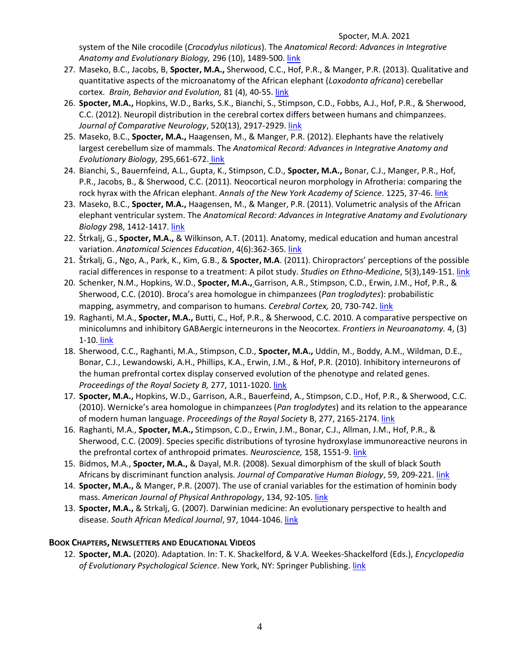system of the Nile crocodile (*Crocodylus niloticus*). The *Anatomical Record: Advances in Integrative Anatomy and Evolutionary Biology,* 296 (10), 1489-500. [link](https://onlinelibrary.wiley.com/doi/abs/10.1002/ar.22752)

- 27. Maseko, B.C., Jacobs, B, **Spocter, M.A.,** Sherwood, C.C., Hof, P.R., & Manger, P.R. (2013). Qualitative and quantitative aspects of the microanatomy of the African elephant (*Loxodonta africana*) cerebellar cortex. *Brain, Behavior and Evolution,* 81 (4), 40-55. [link](http://content.karger.com/ProdukteDB/produkte.asp?Aktion=ShowAbstract&ArtikelNr=345565&Ausgabe=0&ProduktNr=223831)
- 26. **Spocter, M.A.,** Hopkins, W.D., Barks, S.K., Bianchi, S., Stimpson, C.D., Fobbs, A.J., Hof, P.R., & Sherwood, C.C. (2012). Neuropil distribution in the cerebral cortex differs between humans and chimpanzees. *Journal of Comparative Neurology*, 520(13), 2917-2929. [link](https://onlinelibrary.wiley.com/doi/abs/10.1002/cne.23074)
- 25. Maseko, B.C., **Spocter, M.A.,** Haagensen, M., & Manger, P.R. (2012). Elephants have the relatively largest cerebellum size of mammals. The *Anatomical Record: Advances in Integrative Anatomy and Evolutionary Biology,* 295,661-672. [link](https://onlinelibrary.wiley.com/doi/abs/10.1002/ar.22425)
- 24. Bianchi, S., Bauernfeind, A.L., Gupta, K., Stimpson, C.D., **Spocter, M.A.,** Bonar, C.J., Manger, P.R., Hof, P.R., Jacobs, B., & Sherwood, C.C. (2011). Neocortical neuron morphology in Afrotheria: comparing the rock hyrax with the African elephant. Annals of the New York Academy of Science. 1225, 37-46. [link](http://rspb.royalsocietypublishing.org/content/277/1691/2165.long)
- 23. Maseko, B.C., **Spocter, M.A.,** Haagensen, M., & Manger, P.R. (2011). Volumetric analysis of the African elephant ventricular system. The *Anatomical Record: Advances in Integrative Anatomy and Evolutionary Biology* 298, 1412-1417. [link](https://onlinelibrary.wiley.com/doi/abs/10.1002/ar.21431)
- 22. Štrkalj, G., **Spocter, M.A.,** & Wilkinson, A.T. (2011). Anatomy, medical education and human ancestral variation. *Anatomical Sciences Education*, 4(6):362-365. [link](https://onlinelibrary.wiley.com/doi/abs/10.1002/ase.258)
- 21. Štrkalj, G., Ngo, A., Park, K., Kim, G.B., & **Spocter, M.A**. (2011). Chiropractors' perceptions of the possible racial differences in response to a treatment: A pilot study. *Studies on Ethno-Medicine*, 5(3),149-151. [link](http://www.krepublishers.com/02-Journals/S-EM/EM-05-0-000-11-Web/EM-05-3-000-11-Abst-PDF/EM-05-3-149-11-213-Strkalj-G/EM-05-3-149-11-213-Strkalj-G-Tt.pdf)
- 20. Schenker, N.M., Hopkins, W.D., **Spocter, M.A.,** Garrison, A.R., Stimpson, C.D., Erwin, J.M., Hof, P.R., & Sherwood, C.C. (2010). Broca's area homologue in chimpanzees (*Pan troglodytes*): probabilistic mapping, asymmetry, and comparison to humans. *Cerebral Cortex,* 20, 730-742. [link](http://cercor.oxfordjournals.org/content/20/3/730.long)
- 19. Raghanti, M.A., **Spocter, M.A.,** Butti, C., Hof, P.R., & Sherwood, C.C. 2010. A comparative perspective on minicolumns and inhibitory GABAergic interneurons in the Neocortex. *Frontiers in Neuroanatomy.* 4, (3) 1-10. [link](http://www.frontiersin.org/neuroanatomy/10.3389/neuro.05.003.2010/abstract)
- 18. Sherwood, C.C., Raghanti, M.A., Stimpson, C.D., **Spocter, M.A.,** Uddin, M., Boddy, A.M., Wildman, D.E., Bonar, C.J., Lewandowski, A.H., Phillips, K.A., Erwin, J.M., & Hof, P.R. (2010). Inhibitory interneurons of the human prefrontal cortex display conserved evolution of the phenotype and related genes. *Proceedings of the Royal Society B,* 277, 1011-1020. [link](http://rspb.royalsocietypublishing.org/content/277/1684/1011.long)
- 17. **Spocter, M.A.,** Hopkins, W.D., Garrison, A.R., Bauerfeind, A., Stimpson, C.D., Hof, P.R., & Sherwood, C.C. (2010). Wernicke's area homologue in chimpanzees (*Pan troglodytes*) and its relation to the appearance of modern human language. *Proceedings of the Royal Society* B, 277, 2165-2174. [link](http://rspb.royalsocietypublishing.org/content/277/1691/2165.long)
- 16. Raghanti, M.A., **Spocter, M.A.,** Stimpson, C.D., Erwin, J.M., Bonar, C.J., Allman, J.M., Hof, P.R., & Sherwood, C.C. (2009). Species specific distributions of tyrosine hydroxylase immunoreactive neurons in the prefrontal cortex of anthropoid primates. *Neuroscience,* 158, 1551-9[. link](https://www.sciencedirect.com/science/article/abs/pii/S0306452208016084)
- 15. Bidmos, M.A., **Spocter, M.A.,** & Dayal, M.R. (2008). Sexual dimorphism of the skull of black South Africans by discriminant function analysis. *Journal of Comparative Human Biology*, 59, 209-221. [link](https://www.sciencedirect.com/science/article/pii/S0018442X08000164)
- 14. **Spocter, M.A.,** & Manger, P.R. (2007). The use of cranial variables for the estimation of hominin body mass. *American Journal of Physical Anthropology*, 134, 92-105[. link](https://onlinelibrary.wiley.com/doi/abs/10.1002/ajpa.20641?systemMessage=Wiley+Online+Library+will+be+disrupted+6+Aug+from+10-12+BST+for+monthly+maintenance)
- 13. **Spocter, M.A.,** & Strkalj, G. (2007). Darwinian medicine: An evolutionary perspective to health and disease. South African Medical Journal, 97, 1044-1046[. link](http://www.samj.org.za/index.php/samj/article/view/50)

## **BOOK CHAPTERS, NEWSLETTERS AND EDUCATIONAL VIDEOS**

12. **Spocter, M.A.** (2020). Adaptation. In: T. K. Shackelford, & V.A. Weekes-Shackelford (Eds.), *Encyclopedia*  of Evolutionary Psychological Science. New York, NY: Springer Publishing. [link](https://link.springer.com/referenceworkentry/10.1007/978-3-319-16999-6_1704-1)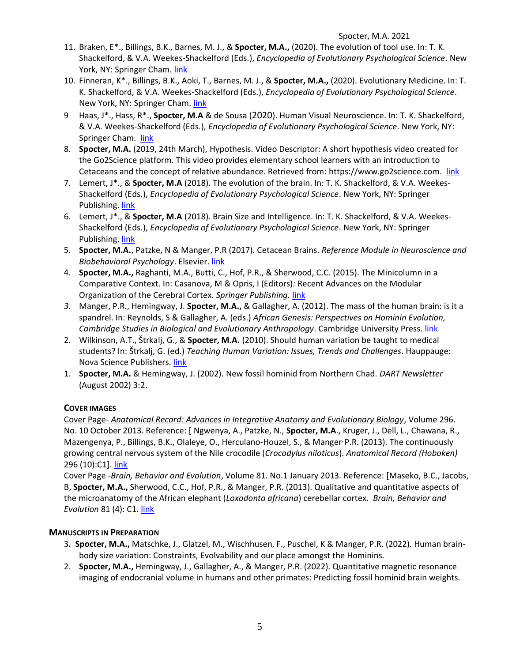- 11. Braken, E\*., Billings, B.K., Barnes, M. J., & **Spocter, M.A.,** (2020). The evolution of tool use. In: T. K. Shackelford, & V.A. Weekes-Shackelford (Eds.), *Encyclopedia of Evolutionary Psychological Science*. New York, NY: Springer Cham. [link](https://link.springer.com/referenceworkentry/10.1007/978-3-319-16999-6_2948-1)
- 10. Finneran, K\*., Billings, B.K., Aoki, T., Barnes, M. J., & **Spocter, M.A.,** (2020). Evolutionary Medicine. In: T. K. Shackelford, & V.A. Weekes-Shackelford (Eds.), *Encyclopedia of Evolutionary Psychological Science*. New York, NY: Springer Cham. [link](https://link.springer.com/referenceworkentry/10.1007/978-3-319-16999-6_2785-1)
- 9 Haas, J\*., Hass, R\*., **Spocter, M.A** & de Sousa (2020). Human Visual Neuroscience. In: T. K. Shackelford, & V.A. Weekes-Shackelford (Eds.), *Encyclopedia of Evolutionary Psychological Science*. New York, NY: Springer Cham. [link](https://link.springer.com/referenceworkentry/10.1007/978-3-319-16999-6_2768-1)
- 8. **Spocter, M.A.** (2019, 24th March), Hypothesis. Video Descriptor: A short hypothesis video created for the Go2Science platform. This video provides elementary school learners with an introduction to Cetaceans and the concept of relative abundance. Retrieved from: [https://www.go2science.com.](https://www.go2science.com/) [link](https://www.youtube.com/watch?v=4VA1cYUuk7g)
- 7. Lemert, J\*., & **Spocter, M.A** (2018). The evolution of the brain. In: T. K. Shackelford, & V.A. Weekes-Shackelford (Eds.), *Encyclopedia of Evolutionary Psychological Science*. New York, NY: Springer Publishing. [link](https://www.springer.com/us/book/9783319196497#aboutBook)
- 6. Lemert, J\*., & **Spocter, M.A** (2018). Brain Size and Intelligence. In: T. K. Shackelford, & V.A. Weekes-Shackelford (Eds.), *Encyclopedia of Evolutionary Psychological Science*. New York, NY: Springer Publishing. [link](https://www.springer.com/us/book/9783319196497#aboutBook)
- 5. **Spocter, M.A.**, Patzke, N & Manger, P.R (2017). Cetacean Brains. *Reference Module in Neuroscience and Biobehavioral Psychology*. Elsevier. [link](https://www.sciencedirect.com/science/article/pii/B9780128093245021751)
- 4. **Spocter, M.A.,** Raghanti, M.A., Butti, C., Hof, P.R., & Sherwood, C.C. (2015). The Minicolumn in a Comparative Context. In: Casanova, M & Opris, I (Editors)*:* Recent Advances on the Modular Organization of the Cerebral Cortex. *Springer Publishing.* [link](https://www.springer.com/us/book/9789401798990)
- *3.* Manger, P.R., Hemingway, J. **Spocter, M.A.,** & Gallagher, A. (2012). The mass of the human brain: is it a spandrel. In: Reynolds, S & Gallagher, A. (eds.) *African Genesis: Perspectives on Hominin Evolution, Cambridge Studies in Biological and Evolutionary Anthropology*. Cambridge University Press. [link](http://www.cambridge.org/aus/catalogue/catalogue.asp?isbn=9781107019959)
- 2. Wilkinson, A.T., Štrkalj, G., & **Spocter, M.A.** (2010). Should human variation be taught to medical students? In: Štrkalj, G. (ed.) *Teaching Human Variation: Issues, Trends and Challenges*. Hauppauge: Nova Science Publishers. [link](https://www.novapublishers.com/catalog/product_info.php?products_id=21129&osCsid=b)
- 1. **Spocter, M.A.** & Hemingway, J. (2002). New fossil hominid from Northern Chad. *DART Newsletter*  (August 2002) 3:2.

## **COVER IMAGES**

Cover Page- *Anatomical Record: Advances in Integrative Anatomy and Evolutionary Biology*, Volume 296. No. 10 October 2013. Reference: [ Ngwenya, A., Patzke, N., **Spocter, M.A**., Kruger, J., Dell, L., Chawana, R., Mazengenya, P., Billings, B.K., Olaleye, O., Herculano-Houzel, S., & Manger, P.R. (2013). The continuously growing central nervous system of the Nile crocodile (*Crocodylus niloticus*). *Anatomical Record (Hoboken)*  296 (10):C1]. [link](https://onlinelibrary.wiley.com/doi/10.1002/ar.22566)

Cover Page -*Brain, Behavior and Evolution*, Volume 81. No.1 January 2013. Reference: [Maseko, B.C., Jacobs, B, **Spocter, M.A.,** Sherwood, C.C., Hof, P.R., & Manger, P.R. (2013). Qualitative and quantitative aspects of the microanatomy of the African elephant (*Loxodonta africana*) cerebellar cortex. *Brain, Behavior and Evolution* 81 (4): C1. [link](https://www.karger.com/article/fulltext/345565)

## **MANUSCRIPTS IN PREPARATION**

- 3**. Spocter, M.A.,** Matschke, J., Glatzel, M., Wischhusen, F., Puschel, K & Manger, P.R. (2022). Human brainbody size variation: Constraints, Evolvability and our place amongst the Hominins.
- 2. **Spocter, M.A.,** Hemingway, J., Gallagher, A., & Manger, P.R. (2022). Quantitative magnetic resonance imaging of endocranial volume in humans and other primates: Predicting fossil hominid brain weights.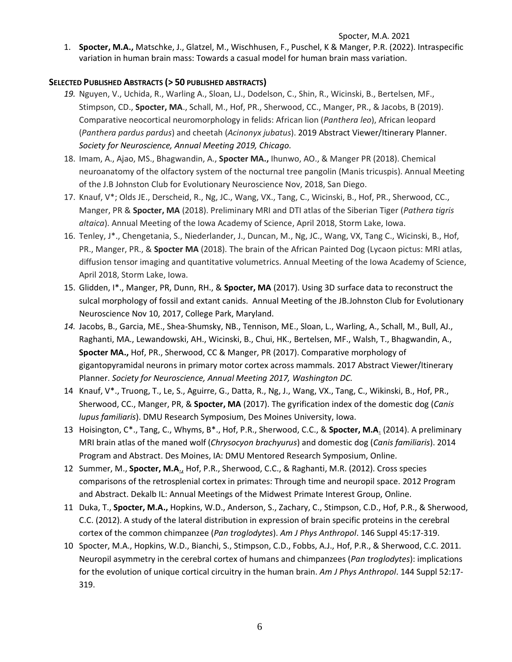1. **Spocter, M.A.,** Matschke, J., Glatzel, M., Wischhusen, F., Puschel, K & Manger, P.R. (2022). Intraspecific variation in human brain mass: Towards a casual model for human brain mass variation.

## **SELECTED PUBLISHED ABSTRACTS (> 50 PUBLISHED ABSTRACTS)**

- *19.* Nguyen, V., Uchida, R., Warling A., Sloan, LJ., Dodelson, C., Shin, R., Wicinski, B., Bertelsen, MF., Stimpson, CD., **Spocter, MA**., Schall, M., Hof, PR., Sherwood, CC., Manger, PR., & Jacobs, B (2019). Comparative neocortical neuromorphology in felids: African lion (*Panthera leo*), African leopard (*Panthera pardus pardus*) and cheetah (*Acinonyx jubatus*). 2019 Abstract Viewer/Itinerary Planner. *Society for Neuroscience, Annual Meeting 2019, Chicago.*
- 18. Imam, A., Ajao, MS., Bhagwandin, A., **Spocter MA.,** Ihunwo, AO., & Manger PR (2018). Chemical neuroanatomy of the olfactory system of the nocturnal tree pangolin (Manis tricuspis). Annual Meeting of the J.B Johnston Club for Evolutionary Neuroscience Nov, 2018, San Diego.
- 17. Knauf, V\*; Olds JE., Derscheid, R., Ng, JC., Wang, VX., Tang, C., Wicinski, B., Hof, PR., Sherwood, CC., Manger, PR & **Spocter, MA** (2018). Preliminary MRI and DTI atlas of the Siberian Tiger (*Pathera tigris altaica*). Annual Meeting of the Iowa Academy of Science, April 2018, Storm Lake, Iowa.
- 16. Tenley, J\*., Chengetania, S., Niederlander, J., Duncan, M., Ng, JC., Wang, VX, Tang C., Wicinski, B., Hof, PR., Manger, PR., & **Spocter MA** (2018). The brain of the African Painted Dog (Lycaon pictus: MRI atlas, diffusion tensor imaging and quantitative volumetrics. Annual Meeting of the Iowa Academy of Science, April 2018, Storm Lake, Iowa.
- 15. Glidden, I\*., Manger, PR, Dunn, RH., & **Spocter, MA** (2017). Using 3D surface data to reconstruct the sulcal morphology of fossil and extant canids. Annual Meeting of the JB.Johnston Club for Evolutionary Neuroscience Nov 10, 2017, College Park, Maryland.
- *14.* Jacobs, B., Garcia, ME., Shea-Shumsky, NB., Tennison, ME., Sloan, L., Warling, A., Schall, M., Bull, AJ., Raghanti, MA., Lewandowski, AH., Wicinski, B., Chui, HK., Bertelsen, MF., Walsh, T., Bhagwandin, A., **Spocter MA.,** Hof, PR., Sherwood, CC & Manger, PR (2017). Comparative morphology of gigantopyramidal neurons in primary motor cortex across mammals. 2017 Abstract Viewer/Itinerary Planner. *Society for Neuroscience, Annual Meeting 2017, Washington DC.*
- 14 Knauf, V\*., Truong, T., Le, S., Aguirre, G., Datta, R., Ng, J., Wang, VX., Tang, C., Wikinski, B., Hof, PR., Sherwood, CC., Manger, PR, & **Spocter, MA** (2017). The gyrification index of the domestic dog (*Canis lupus familiaris*). DMU Research Symposium, Des Moines University, Iowa.
- 13 Hoisington, C\*., Tang, C., Whyms, B\*., Hof, P.R., Sherwood, C.C., & **Spocter, M.A**. (2014). A preliminary MRI brain atlas of the maned wolf (*Chrysocyon brachyurus*) and domestic dog (*Canis familiaris*). 2014 Program and Abstract. Des Moines, IA: DMU Mentored Research Symposium, Online*.*
- 12 Summer, M., **Spocter, M.A**., Hof, P.R., Sherwood, C.C., & Raghanti, M.R. (2012). Cross species comparisons of the retrosplenial cortex in primates: Through time and neuropil space. 2012 Program and Abstract. Dekalb IL: Annual Meetings of the Midwest Primate Interest Group, Online.
- 11 Duka, T., **Spocter, M.A.,** Hopkins, W.D., Anderson, S., Zachary, C., Stimpson, C.D., Hof, P.R., & Sherwood, C.C. (2012). A study of the lateral distribution in expression of brain specific proteins in the cerebral cortex of the common chimpanzee (*Pan troglodytes*). *Am J Phys Anthropol*. 146 Suppl 45:17-319.
- 10 Spocter, M.A., Hopkins, W.D., Bianchi, S., Stimpson, C.D., Fobbs, A.J., Hof, P.R., & Sherwood, C.C. 2011. Neuropil asymmetry in the cerebral cortex of humans and chimpanzees (*Pan troglodytes*): implications for the evolution of unique cortical circuitry in the human brain. *Am J Phys Anthropol*. 144 Suppl 52:17- 319.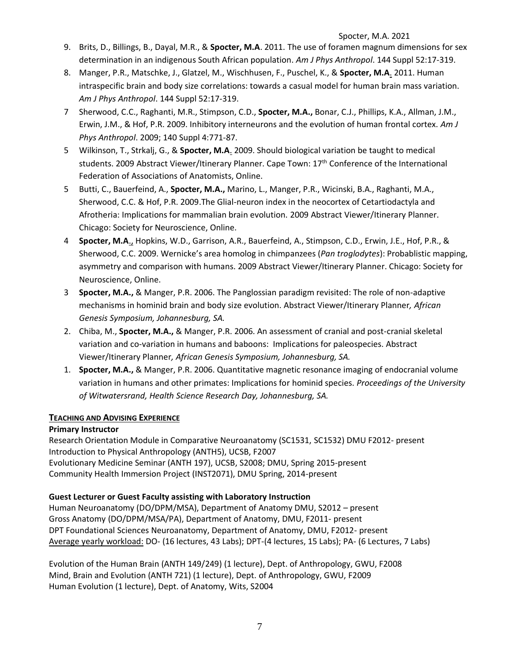- 9. Brits, D., Billings, B., Dayal, M.R., & **Spocter, M.A**. 2011. The use of foramen magnum dimensions for sex determination in an indigenous South African population. *Am J Phys Anthropol*. 144 Suppl 52:17-319.
- 8. Manger, P.R., Matschke, J., Glatzel, M., Wischhusen, F., Puschel, K., & **Spocter, M.A**. 2011. Human intraspecific brain and body size correlations: towards a casual model for human brain mass variation. *Am J Phys Anthropol*. 144 Suppl 52:17-319.
- 7 Sherwood, C.C., Raghanti, M.R., Stimpson, C.D., **Spocter, M.A.,** Bonar, C.J., Phillips, K.A., Allman, J.M., Erwin, J.M., & Hof, P.R. 2009. Inhibitory interneurons and the evolution of human frontal cortex. *Am J Phys Anthropol*. 2009; 140 Suppl 4:771-87.
- 5 Wilkinson, T., Strkalj, G., & **Spocter, M.A**. 2009. Should biological variation be taught to medical students. 2009 Abstract Viewer/Itinerary Planner. Cape Town: 17th Conference of the International Federation of Associations of Anatomists, Online.
- 5 Butti, C., Bauerfeind, A., **Spocter, M.A.,** Marino, L., Manger, P.R., Wicinski, B.A., Raghanti, M.A., Sherwood, C.C. & Hof, P.R. 2009.The Glial-neuron index in the neocortex of Cetartiodactyla and Afrotheria: Implications for mammalian brain evolution. 2009 Abstract Viewer/Itinerary Planner. Chicago: Society for Neuroscience, Online.
- 4 **Spocter, M.A**., Hopkins, W.D., Garrison, A.R., Bauerfeind, A., Stimpson, C.D., Erwin, J.E., Hof, P.R., & Sherwood, C.C. 2009. Wernicke's area homolog in chimpanzees (*Pan troglodytes*): Probablistic mapping, asymmetry and comparison with humans. 2009 Abstract Viewer/Itinerary Planner. Chicago: Society for Neuroscience, Online.
- 3 **Spocter, M.A.,** & Manger, P.R. 2006. The Panglossian paradigm revisited: The role of non-adaptive mechanisms in hominid brain and body size evolution. Abstract Viewer/Itinerary Planner*, African Genesis Symposium, Johannesburg, SA.*
- 2. Chiba, M., **Spocter, M.A.,** & Manger, P.R. 2006. An assessment of cranial and post-cranial skeletal variation and co-variation in humans and baboons: Implications for paleospecies. Abstract Viewer/Itinerary Planner*, African Genesis Symposium, Johannesburg, SA.*
- 1. **Spocter, M.A.,** & Manger, P.R. 2006. Quantitative magnetic resonance imaging of endocranial volume variation in humans and other primates: Implications for hominid species. *Proceedings of the University of Witwatersrand, Health Science Research Day, Johannesburg, SA.*

## **TEACHING AND ADVISING EXPERIENCE**

## **Primary Instructor**

Research Orientation Module in Comparative Neuroanatomy (SC1531, SC1532) DMU F2012- present Introduction to Physical Anthropology (ANTH5), UCSB, F2007 Evolutionary Medicine Seminar (ANTH 197), UCSB, S2008; DMU, Spring 2015-present Community Health Immersion Project (INST2071), DMU Spring, 2014-present

## **Guest Lecturer or Guest Faculty assisting with Laboratory Instruction**

Human Neuroanatomy (DO/DPM/MSA), Department of Anatomy DMU, S2012 – present Gross Anatomy (DO/DPM/MSA/PA), Department of Anatomy, DMU, F2011- present DPT Foundational Sciences Neuroanatomy, Department of Anatomy, DMU, F2012- present Average yearly workload: DO- (16 lectures, 43 Labs); DPT-(4 lectures, 15 Labs); PA- (6 Lectures, 7 Labs)

Evolution of the Human Brain (ANTH 149/249) (1 lecture), Dept. of Anthropology, GWU, F2008 Mind, Brain and Evolution (ANTH 721) (1 lecture), Dept. of Anthropology, GWU, F2009 Human Evolution (1 lecture), Dept. of Anatomy, Wits, S2004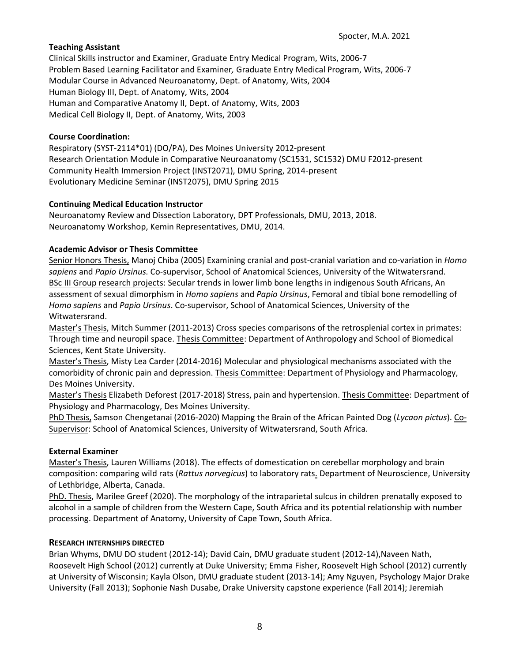### **Teaching Assistant**

Clinical Skills instructor and Examiner, Graduate Entry Medical Program, Wits, 2006-7 Problem Based Learning Facilitator and Examiner*,* Graduate Entry Medical Program, Wits, 2006-7 Modular Course in Advanced Neuroanatomy, Dept. of Anatomy, Wits, 2004 Human Biology III, Dept. of Anatomy, Wits, 2004 Human and Comparative Anatomy II, Dept. of Anatomy, Wits, 2003 Medical Cell Biology II, Dept. of Anatomy, Wits, 2003

#### **Course Coordination:**

Respiratory (SYST-2114\*01) (DO/PA), Des Moines University 2012-present Research Orientation Module in Comparative Neuroanatomy (SC1531, SC1532) DMU F2012-present Community Health Immersion Project (INST2071), DMU Spring, 2014-present Evolutionary Medicine Seminar (INST2075), DMU Spring 2015

### **Continuing Medical Education Instructor**

Neuroanatomy Review and Dissection Laboratory, DPT Professionals, DMU, 2013, 2018. Neuroanatomy Workshop, Kemin Representatives, DMU, 2014.

### **Academic Advisor or Thesis Committee**

Senior Honors Thesis, Manoj Chiba (2005) Examining cranial and post-cranial variation and co-variation in *Homo sapiens* and *Papio Ursinus.* Co-supervisor, School of Anatomical Sciences, University of the Witwatersrand. BSc III Group research projects: Secular trends in lower limb bone lengths in indigenous South Africans, An assessment of sexual dimorphism in *Homo sapiens* and *Papio Ursinus*, Femoral and tibial bone remodelling of *Homo sapiens* and *Papio Ursinus*. Co-supervisor, School of Anatomical Sciences, University of the Witwatersrand.

Master's Thesis, Mitch Summer (2011-2013) Cross species comparisons of the retrosplenial cortex in primates: Through time and neuropil space. Thesis Committee: Department of Anthropology and School of Biomedical Sciences, Kent State University.

Master's Thesis, Misty Lea Carder (2014-2016) Molecular and physiological mechanisms associated with the comorbidity of chronic pain and depression. Thesis Committee: Department of Physiology and Pharmacology, Des Moines University.

Master's Thesis Elizabeth Deforest (2017-2018) Stress, pain and hypertension. Thesis Committee: Department of Physiology and Pharmacology, Des Moines University.

PhD Thesis, Samson Chengetanai (2016-2020) Mapping the Brain of the African Painted Dog (*Lycaon pictus*). Co-Supervisor: School of Anatomical Sciences, University of Witwatersrand, South Africa.

#### **External Examiner**

Master's Thesis, Lauren Williams (2018). The effects of domestication on cerebellar morphology and brain composition: comparing wild rats (*Rattus norvegicus*) to laboratory rats. Department of Neuroscience, University of Lethbridge, Alberta, Canada.

PhD. Thesis, Marilee Greef (2020). The morphology of the intraparietal sulcus in children prenatally exposed to alcohol in a sample of children from the Western Cape, South Africa and its potential relationship with number processing. Department of Anatomy, University of Cape Town, South Africa.

#### **RESEARCH INTERNSHIPS DIRECTED**

Brian Whyms, DMU DO student (2012-14); David Cain, DMU graduate student (2012-14),Naveen Nath, Roosevelt High School (2012) currently at Duke University; Emma Fisher, Roosevelt High School (2012) currently at University of Wisconsin; Kayla Olson, DMU graduate student (2013-14); Amy Nguyen, Psychology Major Drake University (Fall 2013); Sophonie Nash Dusabe, Drake University capstone experience (Fall 2014); Jeremiah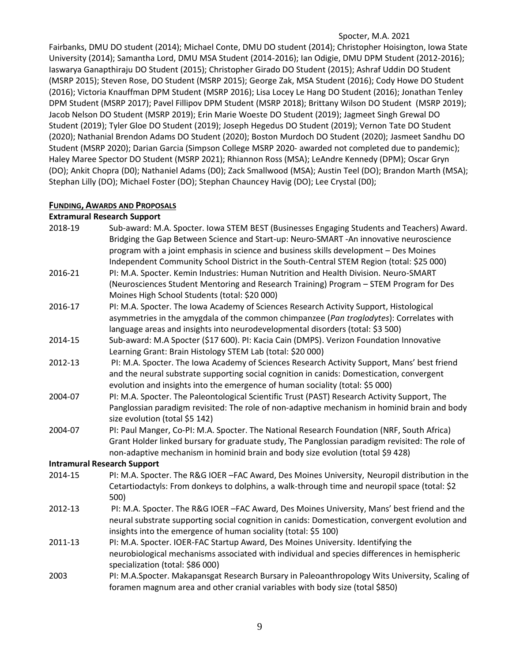Fairbanks, DMU DO student (2014); Michael Conte, DMU DO student (2014); Christopher Hoisington, Iowa State University (2014); Samantha Lord, DMU MSA Student (2014-2016); Ian Odigie, DMU DPM Student (2012-2016); Iaswarya Ganapthiraju DO Student (2015); Christopher Girado DO Student (2015); Ashraf Uddin DO Student (MSRP 2015); Steven Rose, DO Student (MSRP 2015); George Zak, MSA Student (2016); Cody Howe DO Student (2016); Victoria Knauffman DPM Student (MSRP 2016); Lisa Locey Le Hang DO Student (2016); Jonathan Tenley DPM Student (MSRP 2017); Pavel Fillipov DPM Student (MSRP 2018); Brittany Wilson DO Student (MSRP 2019); Jacob Nelson DO Student (MSRP 2019); Erin Marie Woeste DO Student (2019); Jagmeet Singh Grewal DO Student (2019); Tyler Gloe DO Student (2019); Joseph Hegedus DO Student (2019); Vernon Tate DO Student (2020); Nathanial Brendon Adams DO Student (2020); Boston Murdoch DO Student (2020); Jasmeet Sandhu DO Student (MSRP 2020); Darian Garcia (Simpson College MSRP 2020- awarded not completed due to pandemic); Haley Maree Spector DO Student (MSRP 2021); Rhiannon Ross (MSA); LeAndre Kennedy (DPM); Oscar Gryn (DO); Ankit Chopra (D0); Nathaniel Adams (D0); Zack Smallwood (MSA); Austin Teel (DO); Brandon Marth (MSA); Stephan Lilly (DO); Michael Foster (DO); Stephan Chauncey Havig (DO); Lee Crystal (D0);

### **FUNDING, AWARDS AND PROPOSALS**

#### **Extramural Research Support**

| 2018-19                            | Sub-award: M.A. Spocter. Iowa STEM BEST (Businesses Engaging Students and Teachers) Award.<br>Bridging the Gap Between Science and Start-up: Neuro-SMART -An innovative neuroscience<br>program with a joint emphasis in science and business skills development - Des Moines                                               |
|------------------------------------|-----------------------------------------------------------------------------------------------------------------------------------------------------------------------------------------------------------------------------------------------------------------------------------------------------------------------------|
| 2016-21                            | Independent Community School District in the South-Central STEM Region (total: \$25 000)<br>PI: M.A. Spocter. Kemin Industries: Human Nutrition and Health Division. Neuro-SMART<br>(Neurosciences Student Mentoring and Research Training) Program - STEM Program for Des<br>Moines High School Students (total: \$20 000) |
| 2016-17                            | PI: M.A. Spocter. The Iowa Academy of Sciences Research Activity Support, Histological<br>asymmetries in the amygdala of the common chimpanzee (Pan troglodytes): Correlates with<br>language areas and insights into neurodevelopmental disorders (total: \$3 500)                                                         |
| 2014-15                            | Sub-award: M.A Spocter (\$17 600). PI: Kacia Cain (DMPS). Verizon Foundation Innovative<br>Learning Grant: Brain Histology STEM Lab (total: \$20 000)                                                                                                                                                                       |
| 2012-13                            | PI: M.A. Spocter. The Iowa Academy of Sciences Research Activity Support, Mans' best friend<br>and the neural substrate supporting social cognition in canids: Domestication, convergent<br>evolution and insights into the emergence of human sociality (total: \$5 000)                                                   |
| 2004-07                            | PI: M.A. Spocter. The Paleontological Scientific Trust (PAST) Research Activity Support, The<br>Panglossian paradigm revisited: The role of non-adaptive mechanism in hominid brain and body<br>size evolution (total \$5 142)                                                                                              |
| 2004-07                            | PI: Paul Manger, Co-PI: M.A. Spocter. The National Research Foundation (NRF, South Africa)<br>Grant Holder linked bursary for graduate study, The Panglossian paradigm revisited: The role of<br>non-adaptive mechanism in hominid brain and body size evolution (total \$9 428)                                            |
| <b>Intramural Research Support</b> |                                                                                                                                                                                                                                                                                                                             |
| 2014-15                            | PI: M.A. Spocter. The R&G IOER -FAC Award, Des Moines University, Neuropil distribution in the<br>Cetartiodactyls: From donkeys to dolphins, a walk-through time and neuropil space (total: \$2<br>500)                                                                                                                     |
| 2012-13                            | PI: M.A. Spocter. The R&G IOER -FAC Award, Des Moines University, Mans' best friend and the<br>neural substrate supporting social cognition in canids: Domestication, convergent evolution and<br>insights into the emergence of human sociality (total: \$5 100)                                                           |
| 2011-13                            | PI: M.A. Spocter. IOER-FAC Startup Award, Des Moines University. Identifying the<br>neurobiological mechanisms associated with individual and species differences in hemispheric<br>specialization (total: \$86 000)                                                                                                        |
| 2003                               | PI: M.A.Spocter. Makapansgat Research Bursary in Paleoanthropology Wits University, Scaling of<br>foramen magnum area and other cranial variables with body size (total \$850)                                                                                                                                              |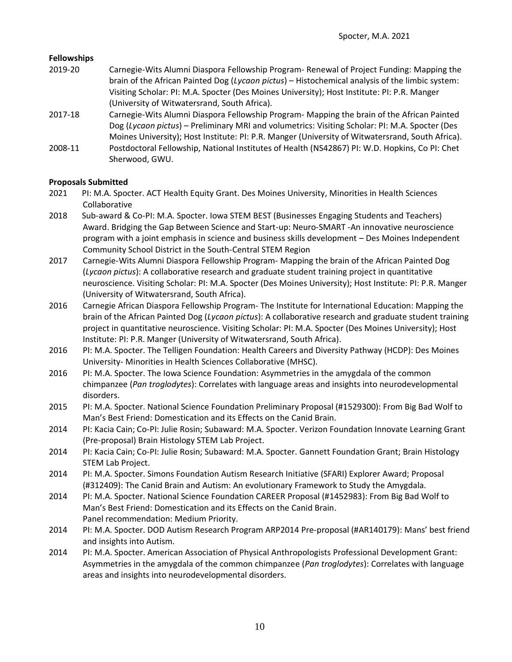#### **Fellowships**

- 2019-20 Carnegie-Wits Alumni Diaspora Fellowship Program- Renewal of Project Funding: Mapping the brain of the African Painted Dog (*Lycaon pictus*) – Histochemical analysis of the limbic system: Visiting Scholar: PI: M.A. Spocter (Des Moines University); Host Institute: PI: P.R. Manger (University of Witwatersrand, South Africa).
- 2017-18 Carnegie-Wits Alumni Diaspora Fellowship Program- Mapping the brain of the African Painted Dog (*Lycaon pictus*) – Preliminary MRI and volumetrics: Visiting Scholar: PI: M.A. Spocter (Des Moines University); Host Institute: PI: P.R. Manger (University of Witwatersrand, South Africa).
- 2008-11 Postdoctoral Fellowship, National Institutes of Health (NS42867) PI: W.D. Hopkins, Co PI: Chet Sherwood, GWU.

#### **Proposals Submitted**

- 2021 PI: M.A. Spocter. ACT Health Equity Grant. Des Moines University, Minorities in Health Sciences Collaborative
- 2018 Sub-award & Co-PI: M.A. Spocter. Iowa STEM BEST (Businesses Engaging Students and Teachers) Award. Bridging the Gap Between Science and Start-up: Neuro-SMART -An innovative neuroscience program with a joint emphasis in science and business skills development – Des Moines Independent Community School District in the South-Central STEM Region
- 2017 Carnegie-Wits Alumni Diaspora Fellowship Program- Mapping the brain of the African Painted Dog (*Lycaon pictus*): A collaborative research and graduate student training project in quantitative neuroscience. Visiting Scholar: PI: M.A. Spocter (Des Moines University); Host Institute: PI: P.R. Manger (University of Witwatersrand, South Africa).
- 2016 Carnegie African Diaspora Fellowship Program- The Institute for International Education: Mapping the brain of the African Painted Dog (*Lycaon pictus*): A collaborative research and graduate student training project in quantitative neuroscience. Visiting Scholar: PI: M.A. Spocter (Des Moines University); Host Institute: PI: P.R. Manger (University of Witwatersrand, South Africa).
- 2016 PI: M.A. Spocter. The Telligen Foundation: Health Careers and Diversity Pathway (HCDP): Des Moines University- Minorities in Health Sciences Collaborative (MHSC).
- 2016 PI: M.A. Spocter. The Iowa Science Foundation: Asymmetries in the amygdala of the common chimpanzee (*Pan troglodytes*): Correlates with language areas and insights into neurodevelopmental disorders.
- 2015 PI: M.A. Spocter. National Science Foundation Preliminary Proposal (#1529300): From Big Bad Wolf to Man's Best Friend: Domestication and its Effects on the Canid Brain.
- 2014 PI: Kacia Cain; Co-PI: Julie Rosin; Subaward: M.A. Spocter. Verizon Foundation Innovate Learning Grant (Pre-proposal) Brain Histology STEM Lab Project.
- 2014 PI: Kacia Cain; Co-PI: Julie Rosin; Subaward: M.A. Spocter. Gannett Foundation Grant; Brain Histology STEM Lab Project.
- 2014 PI: M.A. Spocter. Simons Foundation Autism Research Initiative (SFARI) Explorer Award; Proposal (#312409): The Canid Brain and Autism: An evolutionary Framework to Study the Amygdala.
- 2014 PI: M.A. Spocter. National Science Foundation CAREER Proposal (#1452983): From Big Bad Wolf to Man's Best Friend: Domestication and its Effects on the Canid Brain. Panel recommendation: Medium Priority.
- 2014 PI: M.A. Spocter. DOD Autism Research Program ARP2014 Pre-proposal (#AR140179): Mans' best friend and insights into Autism.
- 2014 PI: M.A. Spocter. American Association of Physical Anthropologists Professional Development Grant: Asymmetries in the amygdala of the common chimpanzee (*Pan troglodytes*): Correlates with language areas and insights into neurodevelopmental disorders.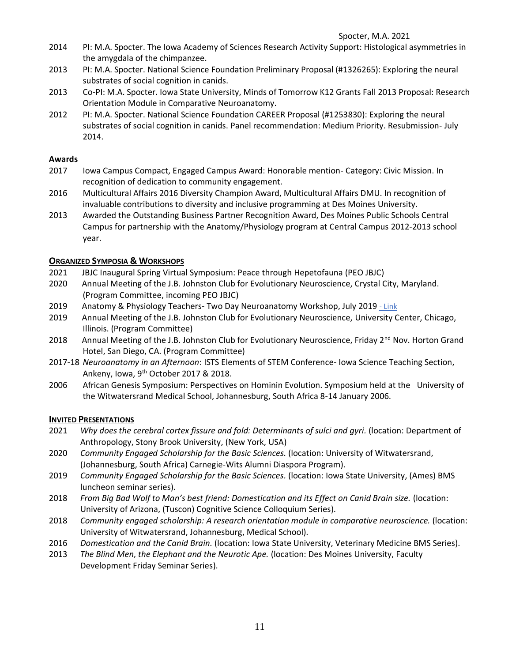- 2014 PI: M.A. Spocter. The Iowa Academy of Sciences Research Activity Support: Histological asymmetries in the amygdala of the chimpanzee.
- 2013 PI: M.A. Spocter. National Science Foundation Preliminary Proposal (#1326265): Exploring the neural substrates of social cognition in canids.
- 2013 Co-PI: M.A. Spocter. Iowa State University, Minds of Tomorrow K12 Grants Fall 2013 Proposal: Research Orientation Module in Comparative Neuroanatomy.
- 2012 PI: M.A. Spocter. National Science Foundation CAREER Proposal (#1253830): Exploring the neural substrates of social cognition in canids. Panel recommendation: Medium Priority. Resubmission- July 2014.

### **Awards**

- 2017 Iowa Campus Compact, Engaged Campus Award: Honorable mention- Category: Civic Mission. In recognition of dedication to community engagement.
- 2016 Multicultural Affairs 2016 Diversity Champion Award, Multicultural Affairs DMU. In recognition of invaluable contributions to diversity and inclusive programming at Des Moines University.
- 2013 Awarded the Outstanding Business Partner Recognition Award, Des Moines Public Schools Central Campus for partnership with the Anatomy/Physiology program at Central Campus 2012-2013 school year.

## **ORGANIZED SYMPOSIA & WORKSHOPS**

- 2021 JBJC Inaugural Spring Virtual Symposium: Peace through Hepetofauna (PEO JBJC)
- 2020 Annual Meeting of the J.B. Johnston Club for Evolutionary Neuroscience, Crystal City, Maryland. (Program Committee, incoming PEO JBJC)
- 2019 Anatomy & Physiology Teachers- Two Day Neuroanatomy Workshop, July 2019 [Link](https://www.spocter.com/workshop-registration)
- 2019 Annual Meeting of the J.B. Johnston Club for Evolutionary Neuroscience, University Center, Chicago, Illinois. (Program Committee)
- 2018 Annual Meeting of the J.B. Johnston Club for Evolutionary Neuroscience, Friday 2<sup>nd</sup> Nov. Horton Grand Hotel, San Diego, CA. (Program Committee)
- 2017-18 *Neuroanatomy in an Afternoon*: ISTS Elements of STEM Conference- Iowa Science Teaching Section, Ankeny, Iowa, 9<sup>th</sup> October 2017 & 2018.
- 2006 African Genesis Symposium: Perspectives on Hominin Evolution. Symposium held at the University of the Witwatersrand Medical School, Johannesburg, South Africa 8-14 January 2006.

## **INVITED PRESENTATIONS**

- 2021 *Why does the cerebral cortex fissure and fold: Determinants of sulci and gyri.* (location: Department of Anthropology, Stony Brook University, (New York, USA)
- 2020 *Community Engaged Scholarship for the Basic Sciences.* (location: University of Witwatersrand, (Johannesburg, South Africa) Carnegie-Wits Alumni Diaspora Program).
- 2019 *Community Engaged Scholarship for the Basic Sciences.* (location: Iowa State University, (Ames) BMS luncheon seminar series).
- 2018 *From Big Bad Wolf to Man's best friend: Domestication and its Effect on Canid Brain size.* (location: University of Arizona, (Tuscon) Cognitive Science Colloquium Series).
- 2018 *Community engaged scholarship: A research orientation module in comparative neuroscience.* (location: University of Witwatersrand, Johannesburg, Medical School).
- 2016 *Domestication and the Canid Brain.* (location: Iowa State University, Veterinary Medicine BMS Series).
- 2013 *The Blind Men, the Elephant and the Neurotic Ape.* (location: Des Moines University, Faculty Development Friday Seminar Series).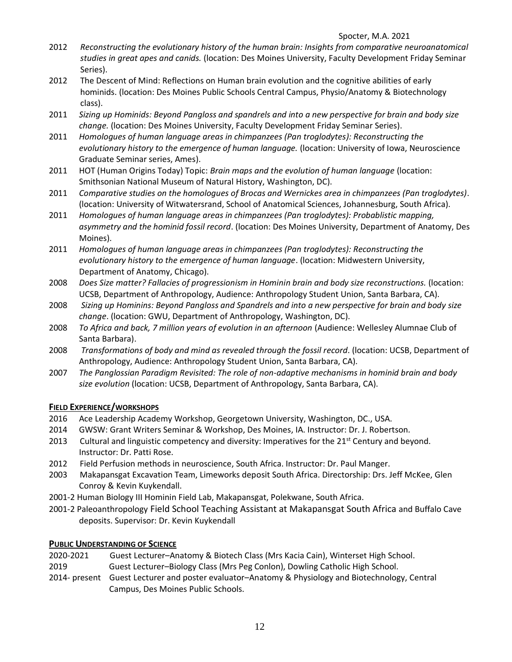- 2012 *Reconstructing the evolutionary history of the human brain: Insights from comparative neuroanatomical studies in great apes and canids.* (location: Des Moines University, Faculty Development Friday Seminar Series).
- 2012 The Descent of Mind: Reflections on Human brain evolution and the cognitive abilities of early hominids. (location: Des Moines Public Schools Central Campus, Physio/Anatomy & Biotechnology class).
- 2011 *Sizing up Hominids: Beyond Pangloss and spandrels and into a new perspective for brain and body size change.* (location: Des Moines University, Faculty Development Friday Seminar Series).
- 2011 *Homologues of human language areas in chimpanzees (Pan troglodytes): Reconstructing the evolutionary history to the emergence of human language.* (location: University of Iowa, Neuroscience Graduate Seminar series, Ames).
- 2011 HOT (Human Origins Today) Topic: *Brain maps and the evolution of human language* (location: Smithsonian National Museum of Natural History, Washington, DC).
- 2011 *Comparative studies on the homologues of Brocas and Wernickes area in chimpanzees (Pan troglodytes)*. (location: University of Witwatersrand, School of Anatomical Sciences, Johannesburg, South Africa).
- 2011 *Homologues of human language areas in chimpanzees (Pan troglodytes): Probablistic mapping, asymmetry and the hominid fossil record*. (location: Des Moines University, Department of Anatomy, Des Moines).
- 2011 *Homologues of human language areas in chimpanzees (Pan troglodytes): Reconstructing the evolutionary history to the emergence of human language*. (location: Midwestern University, Department of Anatomy, Chicago).
- 2008 *Does Size matter? Fallacies of progressionism in Hominin brain and body size reconstructions.* (location: UCSB, Department of Anthropology, Audience: Anthropology Student Union, Santa Barbara, CA).
- 2008 *Sizing up Hominins: Beyond Pangloss and Spandrels and into a new perspective for brain and body size change*. (location: GWU, Department of Anthropology, Washington, DC).
- 2008 *To Africa and back, 7 million years of evolution in an afternoon* (Audience: Wellesley Alumnae Club of Santa Barbara).
- 2008 *Transformations of body and mind as revealed through the fossil record*. (location: UCSB, Department of Anthropology, Audience: Anthropology Student Union, Santa Barbara, CA).
- 2007 *The Panglossian Paradigm Revisited: The role of non-adaptive mechanisms in hominid brain and body size evolution* (location: UCSB, Department of Anthropology, Santa Barbara, CA).

## **FIELD EXPERIENCE/WORKSHOPS**

- 2016 Ace Leadership Academy Workshop, Georgetown University, Washington, DC., USA.
- 2014 GWSW: Grant Writers Seminar & Workshop, Des Moines, IA. Instructor: Dr. J. Robertson*.*
- 2013 Cultural and linguistic competency and diversity: Imperatives for the 21<sup>st</sup> Century and beyond. Instructor: Dr. Patti Rose.
- 2012 Field Perfusion methods in neuroscience, South Africa. Instructor: Dr. Paul Manger.
- 2003 Makapansgat Excavation Team, Limeworks deposit South Africa. Directorship: Drs. Jeff McKee, Glen Conroy & Kevin Kuykendall.
- 2001-2 Human Biology III Hominin Field Lab, Makapansgat, Polekwane, South Africa.
- 2001-2 Paleoanthropology Field School Teaching Assistant at Makapansgat South Africa and Buffalo Cave deposits. Supervisor: Dr. Kevin Kuykendall

## **PUBLIC UNDERSTANDING OF SCIENCE**

- 2020-2021 Guest Lecturer–Anatomy & Biotech Class (Mrs Kacia Cain), Winterset High School.
- 2019 Guest Lecturer–Biology Class (Mrs Peg Conlon), Dowling Catholic High School.
- 2014- present Guest Lecturer and poster evaluator–Anatomy & Physiology and Biotechnology, Central Campus, Des Moines Public Schools.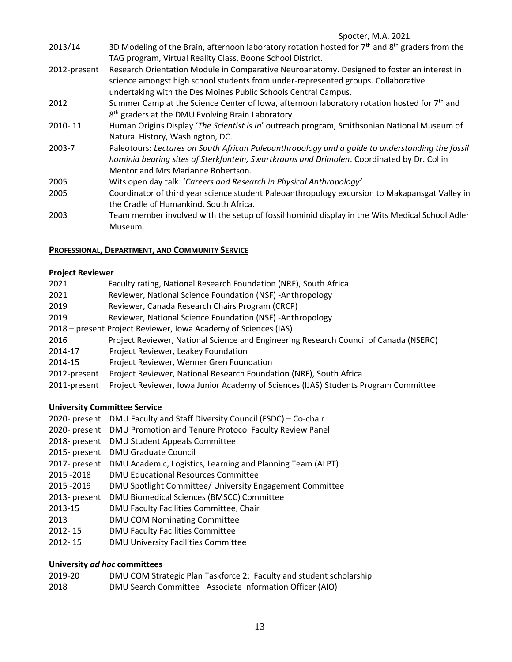- 2013/14 3D Modeling of the Brain, afternoon laboratory rotation hosted for  $7<sup>th</sup>$  and  $8<sup>th</sup>$  graders from the TAG program, Virtual Reality Class, Boone School District. 2012-present Research Orientation Module in Comparative Neuroanatomy. Designed to foster an interest in
- science amongst high school students from under-represented groups. Collaborative undertaking with the Des Moines Public Schools Central Campus.
- 2012 Summer Camp at the Science Center of Iowa, afternoon laboratory rotation hosted for 7<sup>th</sup> and 8<sup>th</sup> graders at the DMU Evolving Brain Laboratory
- 2010- 11 Human Origins Display '*The Scientist is In*' outreach program, Smithsonian National Museum of Natural History, Washington, DC.
- 2003-7 Paleotours: *Lectures on South African Paleoanthropology and a guide to understanding the fossil hominid bearing sites of Sterkfontein, Swartkraans and Drimolen*. Coordinated by Dr. Collin Mentor and Mrs Marianne Robertson.
- 2005 Wits open day talk: '*Careers and Research in Physical Anthropology'*
- 2005 Coordinator of third year science student Paleoanthropology excursion to Makapansgat Valley in the Cradle of Humankind, South Africa.
- 2003 Team member involved with the setup of fossil hominid display in the Wits Medical School Adler Museum.

## **PROFESSIONAL, DEPARTMENT, AND COMMUNITY SERVICE**

### **Project Reviewer**

| 2021                                                            | Faculty rating, National Research Foundation (NRF), South Africa                      |  |
|-----------------------------------------------------------------|---------------------------------------------------------------------------------------|--|
| 2021                                                            | Reviewer, National Science Foundation (NSF) - Anthropology                            |  |
| 2019                                                            | Reviewer, Canada Research Chairs Program (CRCP)                                       |  |
| 2019                                                            | Reviewer, National Science Foundation (NSF) - Anthropology                            |  |
| 2018 – present Project Reviewer, Iowa Academy of Sciences (IAS) |                                                                                       |  |
| 2016                                                            | Project Reviewer, National Science and Engineering Research Council of Canada (NSERC) |  |
| 2014-17                                                         | Project Reviewer, Leakey Foundation                                                   |  |
| 2014-15                                                         | Project Reviewer, Wenner Gren Foundation                                              |  |
| 2012-present                                                    | Project Reviewer, National Research Foundation (NRF), South Africa                    |  |
| 2011-present                                                    | Project Reviewer, Iowa Junior Academy of Sciences (IJAS) Students Program Committee   |  |

## **University Committee Service**

- 2020- present DMU Faculty and Staff Diversity Council (FSDC) Co-chair
- 2020- present DMU Promotion and Tenure Protocol Faculty Review Panel
- 2018- present DMU Student Appeals Committee
- 2015- present DMU Graduate Council
- 2017- present DMU Academic, Logistics, Learning and Planning Team (ALPT)
- 2015 -2018 DMU Educational Resources Committee
- 2015 -2019 DMU Spotlight Committee/ University Engagement Committee
- 2013- present DMU Biomedical Sciences (BMSCC) Committee
- 2013-15 DMU Faculty Facilities Committee, Chair
- 2013 DMU COM Nominating Committee
- 2012- 15 DMU Faculty Facilities Committee
- 2012- 15 DMU University Facilities Committee

## **University** *ad hoc* **committees**

2019-20 DMU COM Strategic Plan Taskforce 2: Faculty and student scholarship 2018 DMU Search Committee –Associate Information Officer (AIO)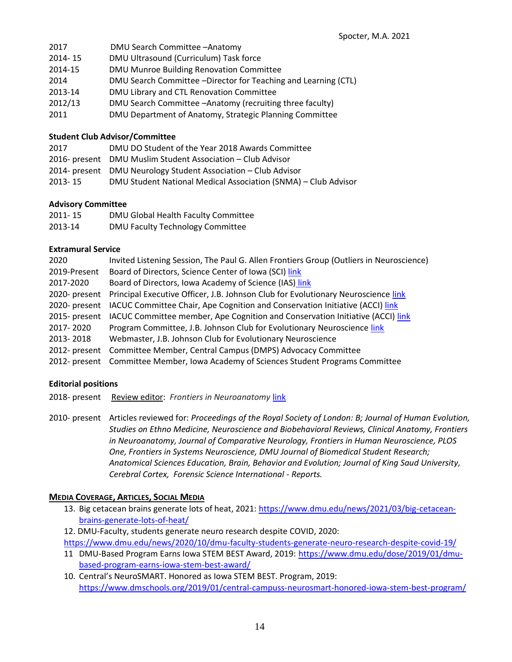| 2017    | DMU Search Committee - Anatomy                                 |
|---------|----------------------------------------------------------------|
| 2014-15 | DMU Ultrasound (Curriculum) Task force                         |
| 2014-15 | DMU Munroe Building Renovation Committee                       |
| 2014    | DMU Search Committee -Director for Teaching and Learning (CTL) |
| 2013-14 | DMU Library and CTL Renovation Committee                       |
| 2012/13 | DMU Search Committee - Anatomy (recruiting three faculty)      |
| 2011    | DMU Department of Anatomy, Strategic Planning Committee        |

#### **Student Club Advisor/Committee**

| 2017    | DMU DO Student of the Year 2018 Awards Committee               |
|---------|----------------------------------------------------------------|
|         | 2016- present DMU Muslim Student Association - Club Advisor    |
|         | 2014- present DMU Neurology Student Association – Club Advisor |
| 2013-15 | DMU Student National Medical Association (SNMA) – Club Advisor |

#### **Advisory Committee**

| 2011-15 | DMU Global Health Faculty Committee |
|---------|-------------------------------------|
| 2013-14 | DMU Faculty Technology Committee    |

#### **Extramural Service**

| 2020          | Invited Listening Session, The Paul G. Allen Frontiers Group (Outliers in Neuroscience) |
|---------------|-----------------------------------------------------------------------------------------|
| 2019-Present  | Board of Directors, Science Center of Iowa (SCI) link                                   |
| 2017-2020     | Board of Directors, Iowa Academy of Science (IAS) link                                  |
| 2020- present | Principal Executive Officer, J.B. Johnson Club for Evolutionary Neuroscience link       |
| 2020- present | IACUC Committee Chair, Ape Cognition and Conservation Initiative (ACCI) link            |
| 2015- present | IACUC Committee member, Ape Cognition and Conservation Initiative (ACCI) link           |
| 2017-2020     | Program Committee, J.B. Johnson Club for Evolutionary Neuroscience link                 |
| 2013-2018     | Webmaster, J.B. Johnson Club for Evolutionary Neuroscience                              |
| 2012- present | Committee Member, Central Campus (DMPS) Advocacy Committee                              |
|               | 2012- present Committee Member, Iowa Academy of Sciences Student Programs Committee     |

#### **Editorial positions**

2018- presentReview editor: *Frontiers in Neuroanatomy* [link](https://loop.frontiersin.org/people/149996/overview)

2010- present Articles reviewed for: *Proceedings of the Royal Society of London: B; Journal of Human Evolution, Studies on Ethno Medicine, Neuroscience and Biobehavioral Reviews, Clinical Anatomy, Frontiers in Neuroanatomy, Journal of Comparative Neurology, Frontiers in Human Neuroscience, PLOS One, Frontiers in Systems Neuroscience, DMU Journal of Biomedical Student Research; Anatomical Sciences Education, Brain, Behavior and Evolution; Journal of King Saud University, Cerebral Cortex, Forensic Science International - Reports.*

#### **MEDIA COVERAGE, ARTICLES, SOCIAL MEDIA**

- 13. Big cetacean brains generate lots of heat, 2021: [https://www.dmu.edu/news/2021/03/big-cetacean](https://www.dmu.edu/news/2021/03/big-cetacean-brains-generate-lots-of-heat/)[brains-generate-lots-of-heat/](https://www.dmu.edu/news/2021/03/big-cetacean-brains-generate-lots-of-heat/)
- 12. DMU-Faculty, students generate neuro research despite COVID, 2020:

<https://www.dmu.edu/news/2020/10/dmu-faculty-students-generate-neuro-research-despite-covid-19/>

- 11 DMU-Based Program Earns Iowa STEM BEST Award, 2019: [https://www.dmu.edu/dose/2019/01/dmu](https://www.dmu.edu/dose/2019/01/dmu-based-program-earns-iowa-stem-best-award/)[based-program-earns-iowa-stem-best-award/](https://www.dmu.edu/dose/2019/01/dmu-based-program-earns-iowa-stem-best-award/)
- 10. Central's NeuroSMART. Honored as Iowa STEM BEST. Program, 2019: <https://www.dmschools.org/2019/01/central-campuss-neurosmart-honored-iowa-stem-best-program/>